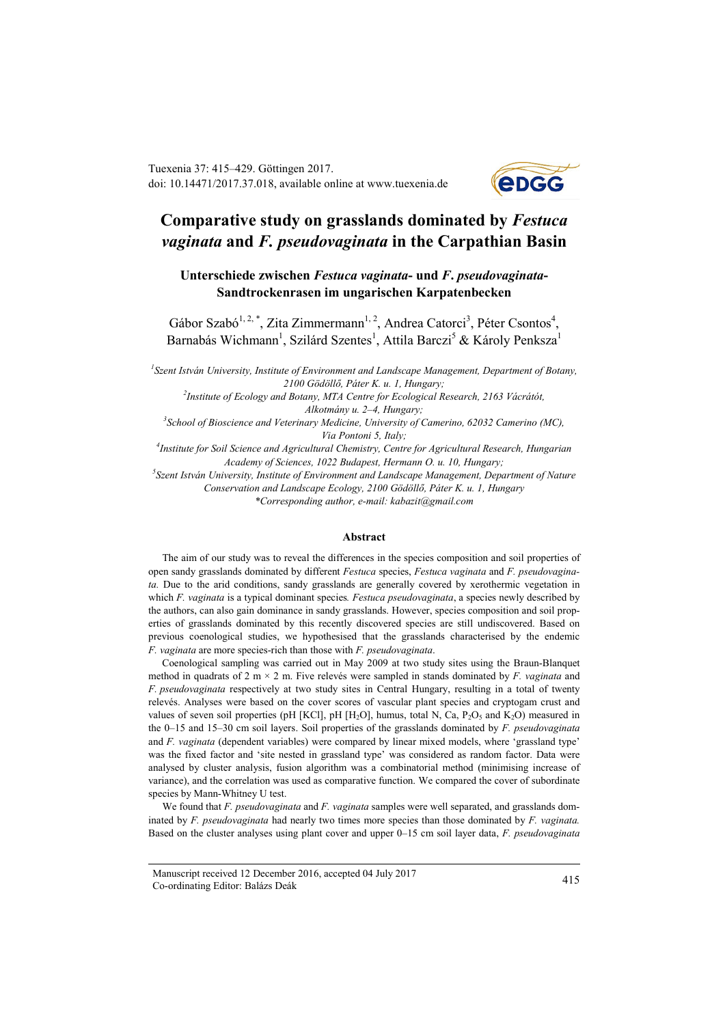Tuexenia 37: 415–429. Göttingen 2017. doi: 10.14471/2017.37.018, available online a[t www.tuexenia.de](http://www.tuexenia.de/)



# **Comparative study on grasslands dominated by** *Festuca vaginata* **and** *F. pseudovaginata* **in the Carpathian Basin**

**Unterschiede zwischen** *Festuca vaginata***- und** *F***.** *pseudovaginata***-Sandtrockenrasen im ungarischen Karpatenbecken**

Gábor Szabó<sup>1, 2, \*</sup>, Zita Zimmermann<sup>1, 2</sup>, Andrea Catorci<sup>3</sup>, Péter Csontos<sup>4</sup>, Barnabás Wichmann<sup>1</sup>, Szilárd Szentes<sup>1</sup>, Attila Barczi<sup>5</sup> & Károly Penksza<sup>1</sup>

*1 Szent István University, Institute of Environment and Landscape Management, Department of Botany, 2100 Gödöllő, Páter K. u. 1, Hungary;* 

*2 Institute of Ecology and Botany, MTA Centre for Ecological Research, 2163 Vácrátót, Alkotmány u. 2–4, Hungary;* 

*3 School of Bioscience and Veterinary Medicine, University of Camerino, 62032 Camerino (MC), Via Pontoni 5, Italy;* 

*4 Institute for Soil Science and Agricultural Chemistry, Centre for Agricultural Research, Hungarian Academy of Sciences, 1022 Budapest, Hermann O. u. 10, Hungary;* 

*5 Szent István University, Institute of Environment and Landscape Management, Department of Nature Conservation and Landscape Ecology, 2100 Gödöllő, Páter K. u. 1, Hungary \*Corresponding author, e-mail: kabazit@gmail.com*

#### **Abstract**

The aim of our study was to reveal the differences in the species composition and soil properties of open sandy grasslands dominated by different *Festuca* species, *Festuca vaginata* and *F. pseudovaginata.* Due to the arid conditions, sandy grasslands are generally covered by xerothermic vegetation in which *F. vaginata* is a typical dominant species*. Festuca pseudovaginata*, a species newly described by the authors, can also gain dominance in sandy grasslands. However, species composition and soil properties of grasslands dominated by this recently discovered species are still undiscovered. Based on previous coenological studies, we hypothesised that the grasslands characterised by the endemic *F. vaginata* are more species-rich than those with *F. pseudovaginata*.

Coenological sampling was carried out in May 2009 at two study sites using the Braun-Blanquet method in quadrats of 2 m × 2 m. Five relevés were sampled in stands dominated by *F. vaginata* and *F. pseudovaginata* respectively at two study sites in Central Hungary, resulting in a total of twenty relevés. Analyses were based on the cover scores of vascular plant species and cryptogam crust and values of seven soil properties (pH [KCl], pH [H<sub>2</sub>O], humus, total N, Ca,  $P_2O_5$  and K<sub>2</sub>O) measured in the 0–15 and 15–30 cm soil layers. Soil properties of the grasslands dominated by *F. pseudovaginata*  and *F. vaginata* (dependent variables) were compared by linear mixed models, where 'grassland type' was the fixed factor and 'site nested in grassland type' was considered as random factor. Data were analysed by cluster analysis, fusion algorithm was a combinatorial method (minimising increase of variance), and the correlation was used as comparative function. We compared the cover of subordinate species by Mann-Whitney U test.

We found that *F. pseudovaginata* and *F. vaginata* samples were well separated, and grasslands dominated by *F. pseudovaginata* had nearly two times more species than those dominated by *F. vaginata.*  Based on the cluster analyses using plant cover and upper 0–15 cm soil layer data, *F. pseudovaginata*

Manuscript received 12 December 2016, accepted 04 July 2017 Co-ordinating Editor: Balázs Deák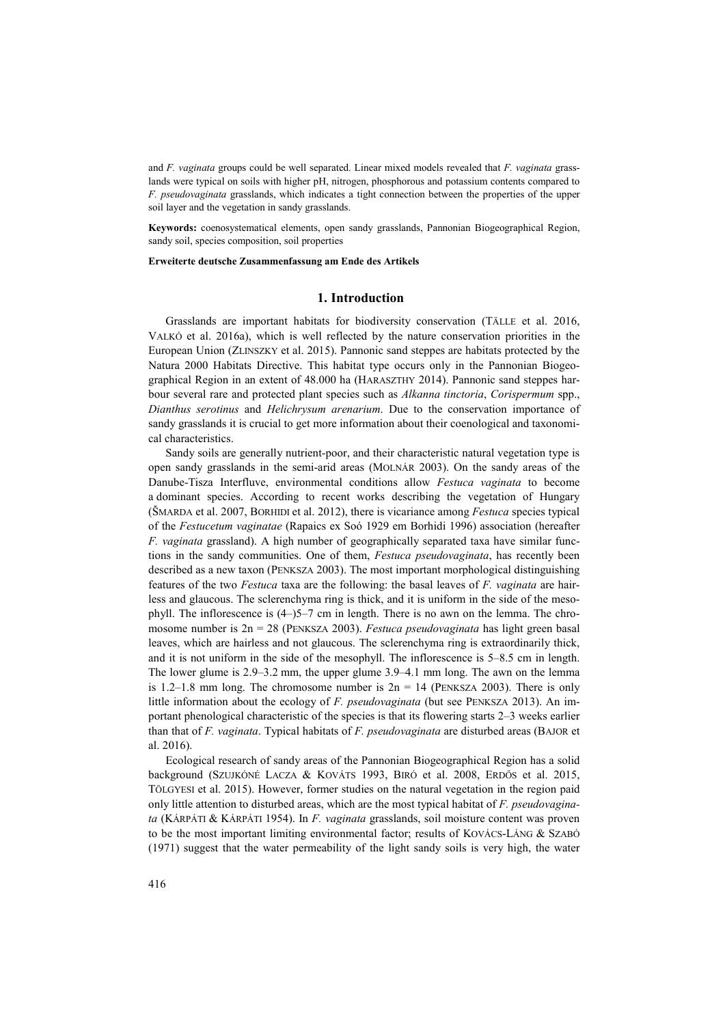and *F. vaginata* groups could be well separated. Linear mixed models revealed that *F. vaginata* grasslands were typical on soils with higher pH, nitrogen, phosphorous and potassium contents compared to *F. pseudovaginata* grasslands, which indicates a tight connection between the properties of the upper soil layer and the vegetation in sandy grasslands.

**Keywords:** coenosystematical elements, open sandy grasslands, Pannonian Biogeographical Region, sandy soil, species composition, soil properties

#### **Erweiterte deutsche Zusammenfassung am Ende des Artikels**

### **1. Introduction**

Grasslands are important habitats for biodiversity conservation (TÄLLE et al. 2016, VALKÓ et al. 2016a), which is well reflected by the nature conservation priorities in the European Union (ZLINSZKY et al. 2015). Pannonic sand steppes are habitats protected by the Natura 2000 Habitats Directive. This habitat type occurs only in the Pannonian Biogeographical Region in an extent of 48.000 ha (HARASZTHY 2014). Pannonic sand steppes harbour several rare and protected plant species such as *Alkanna tinctoria*, *Corispermum* spp., *Dianthus serotinus* and *Helichrysum arenarium*. Due to the conservation importance of sandy grasslands it is crucial to get more information about their coenological and taxonomical characteristics.

Sandy soils are generally nutrient-poor, and their characteristic natural vegetation type is open sandy grasslands in the semi-arid areas (MOLNÁR 2003). On the sandy areas of the Danube-Tisza Interfluve, environmental conditions allow *Festuca vaginata* to become a dominant species. According to recent works describing the vegetation of Hungary (ŠMARDA et al. 2007, BORHIDI et al. 2012), there is vicariance among *Festuca* species typical of the *Festucetum vaginatae* (Rapaics ex Soó 1929 em Borhidi 1996) association (hereafter *F. vaginata* grassland). A high number of geographically separated taxa have similar functions in the sandy communities. One of them, *Festuca pseudovaginata*, has recently been described as a new taxon (PENKSZA 2003). The most important morphological distinguishing features of the two *Festuca* taxa are the following: the basal leaves of *F. vaginata* are hairless and glaucous. The sclerenchyma ring is thick, and it is uniform in the side of the mesophyll. The inflorescence is (4–)5–7 cm in length. There is no awn on the lemma. The chromosome number is 2n = 28 (PENKSZA 2003). *Festuca pseudovaginata* has light green basal leaves, which are hairless and not glaucous. The sclerenchyma ring is extraordinarily thick, and it is not uniform in the side of the mesophyll. The inflorescence is 5–8.5 cm in length. The lower glume is 2.9–3.2 mm, the upper glume 3.9–4.1 mm long. The awn on the lemma is 1.2–1.8 mm long. The chromosome number is  $2n = 14$  (PENKSZA 2003). There is only little information about the ecology of *F. pseudovaginata* (but see PENKSZA 2013). An important phenological characteristic of the species is that its flowering starts 2–3 weeks earlier than that of *F. vaginata*. Typical habitats of *F. pseudovaginata* are disturbed areas (BAJOR et al. 2016).

Ecological research of sandy areas of the Pannonian Biogeographical Region has a solid background (SZUJKÓNÉ LACZA & KOVÁTS 1993, BIRÓ et al. 2008, ERDŐS et al. 2015, TÖLGYESI et al. 2015). However, former studies on the natural vegetation in the region paid only little attention to disturbed areas, which are the most typical habitat of *F. pseudovaginata* (KÁRPÁTI & KÁRPÁTI 1954). In *F. vaginata* grasslands, soil moisture content was proven to be the most important limiting environmental factor; results of KOVÁCS-LÁNG & SZABÓ (1971) suggest that the water permeability of the light sandy soils is very high, the water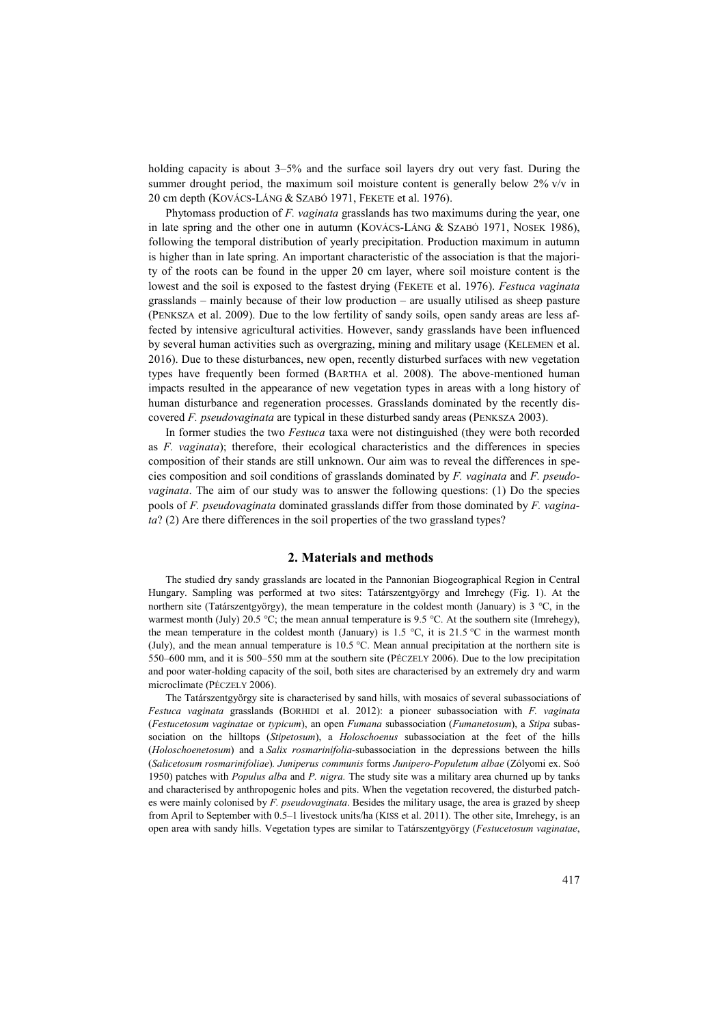holding capacity is about 3–5% and the surface soil layers dry out very fast. During the summer drought period, the maximum soil moisture content is generally below 2% v/v in 20 cm depth (KOVÁCS-LÁNG & SZABÓ 1971, FEKETE et al. 1976).

Phytomass production of *F. vaginata* grasslands has two maximums during the year, one in late spring and the other one in autumn (KOVÁCS-LÁNG & SZABÓ 1971, NOSEK 1986), following the temporal distribution of yearly precipitation. Production maximum in autumn is higher than in late spring. An important characteristic of the association is that the majority of the roots can be found in the upper 20 cm layer, where soil moisture content is the lowest and the soil is exposed to the fastest drying (FEKETE et al. 1976). *Festuca vaginata* grasslands – mainly because of their low production – are usually utilised as sheep pasture (PENKSZA et al. 2009). Due to the low fertility of sandy soils, open sandy areas are less affected by intensive agricultural activities. However, sandy grasslands have been influenced by several human activities such as overgrazing, mining and military usage (KELEMEN et al. 2016). Due to these disturbances, new open, recently disturbed surfaces with new vegetation types have frequently been formed (BARTHA et al. 2008). The above-mentioned human impacts resulted in the appearance of new vegetation types in areas with a long history of human disturbance and regeneration processes. Grasslands dominated by the recently discovered *F. pseudovaginata* are typical in these disturbed sandy areas (PENKSZA 2003).

In former studies the two *Festuca* taxa were not distinguished (they were both recorded as *F. vaginata*); therefore, their ecological characteristics and the differences in species composition of their stands are still unknown. Our aim was to reveal the differences in species composition and soil conditions of grasslands dominated by *F. vaginata* and *F. pseudovaginata*. The aim of our study was to answer the following questions: (1) Do the species pools of *F. pseudovaginata* dominated grasslands differ from those dominated by *F. vaginata*? (2) Are there differences in the soil properties of the two grassland types?

## **2. Materials and methods**

The studied dry sandy grasslands are located in the Pannonian Biogeographical Region in Central Hungary. Sampling was performed at two sites: Tatárszentgyörgy and Imrehegy (Fig. 1). At the northern site (Tatárszentgyörgy), the mean temperature in the coldest month (January) is  $3 \degree C$ , in the warmest month (July) 20.5 °C; the mean annual temperature is 9.5 °C. At the southern site (Imrehegy), the mean temperature in the coldest month (January) is 1.5 °C, it is 21.5 °C in the warmest month (July), and the mean annual temperature is 10.5 °C. Mean annual precipitation at the northern site is 550–600 mm, and it is 500–550 mm at the southern site (PÉCZELY 2006). Due to the low precipitation and poor water-holding capacity of the soil, both sites are characterised by an extremely dry and warm microclimate (PÉCZELY 2006).

The Tatárszentgyörgy site is characterised by sand hills, with mosaics of several subassociations of *Festuca vaginata* grasslands (BORHIDI et al. 2012): a pioneer subassociation with *F. vaginata*  (*Festucetosum vaginatae* or *typicum*), an open *Fumana* subassociation (*Fumanetosum*), a *Stipa* subassociation on the hilltops (*Stipetosum*), a *Holoschoenus* subassociation at the feet of the hills (*Holoschoenetosum*) and a *Salix rosmarinifolia-*subassociation in the depressions between the hills (*Salicetosum rosmarinifoliae*)*. Juniperus communis* forms *Junipero-Populetum albae* (Zólyomi ex. Soó 1950) patches with *Populus alba* and *P. nigra.* The study site was a military area churned up by tanks and characterised by anthropogenic holes and pits. When the vegetation recovered, the disturbed patches were mainly colonised by *F. pseudovaginata*. Besides the military usage, the area is grazed by sheep from April to September with 0.5–1 livestock units/ha (KISS et al. 2011). The other site, Imrehegy, is an open area with sandy hills. Vegetation types are similar to Tatárszentgyörgy (*Festucetosum vaginatae*,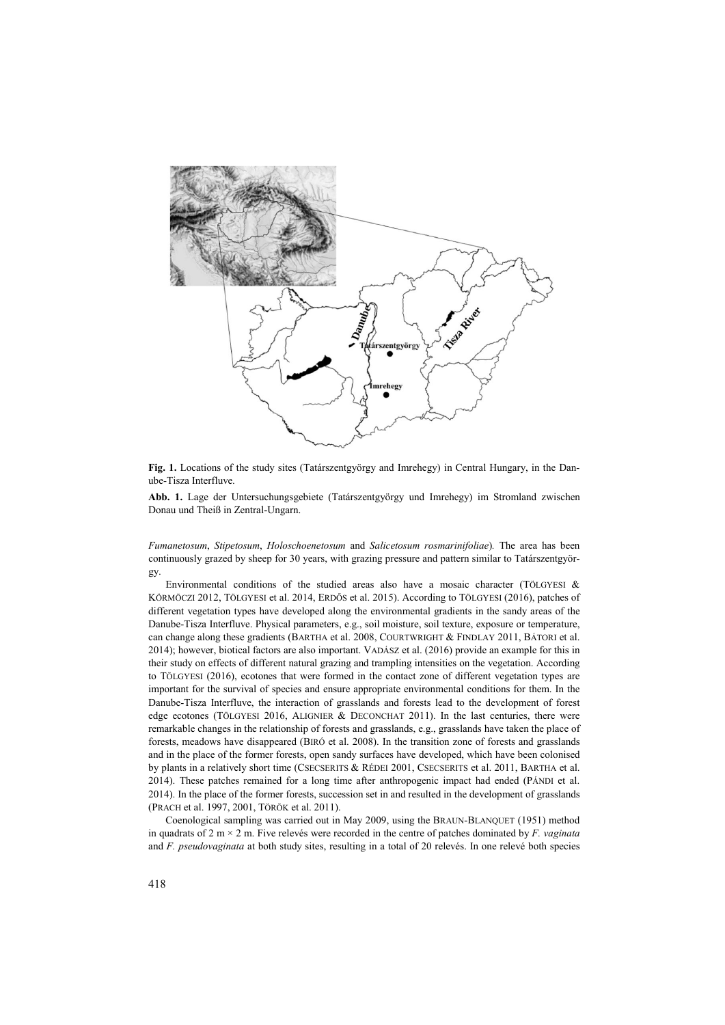

**Fig. 1.** Locations of the study sites (Tatárszentgyörgy and Imrehegy) in Central Hungary, in the Danube-Tisza Interfluve.

**Abb. 1.** Lage der Untersuchungsgebiete (Tatárszentgyörgy und Imrehegy) im Stromland zwischen Donau und Theiß in Zentral-Ungarn.

*Fumanetosum*, *Stipetosum*, *Holoschoenetosum* and *Salicetosum rosmarinifoliae*)*.* The area has been continuously grazed by sheep for 30 years, with grazing pressure and pattern similar to Tatárszentgyörgy.

Environmental conditions of the studied areas also have a mosaic character (TÖLGYESI & KÖRMÖCZI 2012, TÖLGYESI et al. 2014, ERDŐS et al. 2015). According to TÖLGYESI (2016), patches of different vegetation types have developed along the environmental gradients in the sandy areas of the Danube-Tisza Interfluve. Physical parameters, e.g., soil moisture, soil texture, exposure or temperature, can change along these gradients (BARTHA et al. 2008, COURTWRIGHT & FINDLAY 2011, BÁTORI et al. 2014); however, biotical factors are also important. VADÁSZ et al. (2016) provide an example for this in their study on effects of different natural grazing and trampling intensities on the vegetation. According to TÖLGYESI (2016), ecotones that were formed in the contact zone of different vegetation types are important for the survival of species and ensure appropriate environmental conditions for them. In the Danube-Tisza Interfluve, the interaction of grasslands and forests lead to the development of forest edge ecotones (TÖLGYESI 2016, ALIGNIER & DECONCHAT 2011). In the last centuries, there were remarkable changes in the relationship of forests and grasslands, e.g., grasslands have taken the place of forests, meadows have disappeared (BIRÓ et al. 2008). In the transition zone of forests and grasslands and in the place of the former forests, open sandy surfaces have developed, which have been colonised by plants in a relatively short time (CSECSERITS & RÉDEI 2001, CSECSERITS et al. 2011, BARTHA et al. 2014). These patches remained for a long time after anthropogenic impact had ended (PÁNDI et al. 2014). In the place of the former forests, succession set in and resulted in the development of grasslands (PRACH et al. 1997, 2001, TÖRÖK et al. 2011).

Coenological sampling was carried out in May 2009, using the BRAUN-BLANQUET (1951) method in quadrats of 2 m × 2 m. Five relevés were recorded in the centre of patches dominated by *F. vaginata* and *F. pseudovaginata* at both study sites, resulting in a total of 20 relevés. In one relevé both species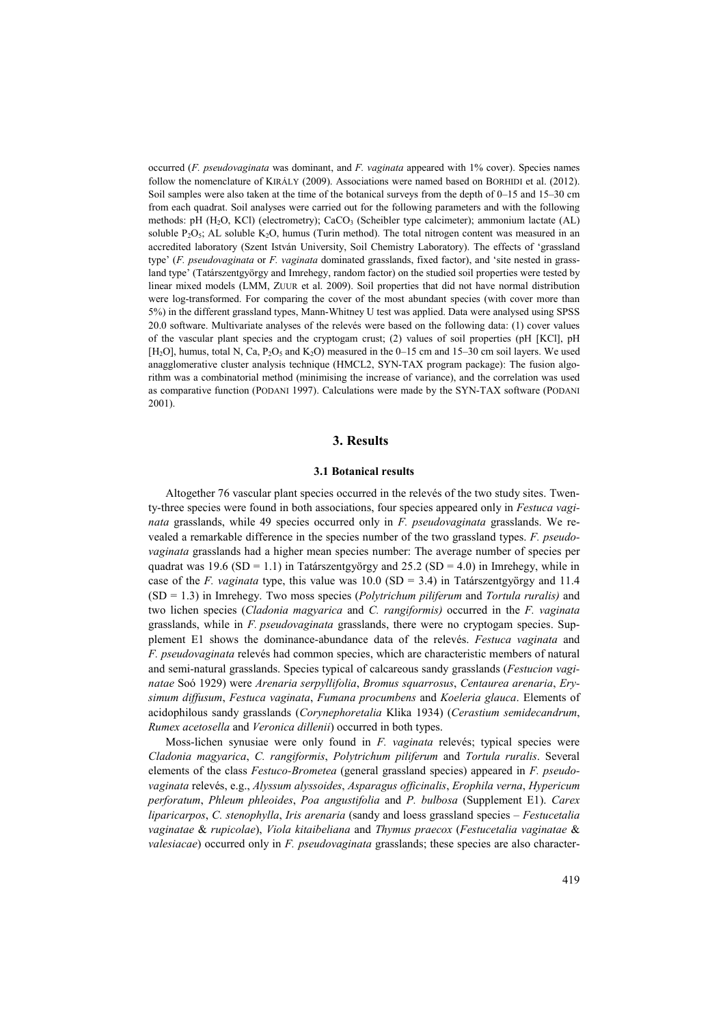occurred (*F. pseudovaginata* was dominant, and *F. vaginata* appeared with 1% cover). Species names follow the nomenclature of KIRÁLY (2009). Associations were named based on BORHIDI et al. (2012). Soil samples were also taken at the time of the botanical surveys from the depth of 0–15 and 15–30 cm from each quadrat. Soil analyses were carried out for the following parameters and with the following methods: pH (H<sub>2</sub>O, KCl) (electrometry); CaCO<sub>3</sub> (Scheibler type calcimeter); ammonium lactate (AL) soluble  $P_2O_5$ ; AL soluble  $K_2O$ , humus (Turin method). The total nitrogen content was measured in an accredited laboratory (Szent István University, Soil Chemistry Laboratory). The effects of 'grassland type' (*F. pseudovaginata* or *F. vaginata* dominated grasslands, fixed factor), and 'site nested in grassland type' (Tatárszentgyörgy and Imrehegy, random factor) on the studied soil properties were tested by linear mixed models (LMM, ZUUR et al. 2009). Soil properties that did not have normal distribution were log-transformed. For comparing the cover of the most abundant species (with cover more than 5%) in the different grassland types, Mann-Whitney U test was applied. Data were analysed using SPSS 20.0 software. Multivariate analyses of the relevés were based on the following data: (1) cover values of the vascular plant species and the cryptogam crust; (2) values of soil properties (pH [KCl], pH [H<sub>2</sub>O], humus, total N, Ca, P<sub>2</sub>O<sub>5</sub> and K<sub>2</sub>O) measured in the 0–15 cm and 15–30 cm soil layers. We used anagglomerative cluster analysis technique (HMCL2, SYN-TAX program package): The fusion algorithm was a combinatorial method (minimising the increase of variance), and the correlation was used as comparative function (PODANI 1997). Calculations were made by the SYN-TAX software (PODANI 2001).

## **3. Results**

## **3.1 Botanical results**

Altogether 76 vascular plant species occurred in the relevés of the two study sites. Twenty-three species were found in both associations, four species appeared only in *Festuca vaginata* grasslands, while 49 species occurred only in *F. pseudovaginata* grasslands. We revealed a remarkable difference in the species number of the two grassland types. *F. pseudovaginata* grasslands had a higher mean species number: The average number of species per quadrat was  $19.6$  (SD = 1.1) in Tatárszentgyörgy and  $25.2$  (SD = 4.0) in Imrehegy, while in case of the *F. vaginata* type, this value was  $10.0$  (SD = 3.4) in Tatárszentgyörgy and 11.4 (SD = 1.3) in Imrehegy. Two moss species (*Polytrichum piliferum* and *Tortula ruralis)* and two lichen species (*Cladonia magyarica* and *C. rangiformis)* occurred in the *F. vaginata* grasslands, while in *F. pseudovaginata* grasslands, there were no cryptogam species. Supplement E1 shows the dominance-abundance data of the relevés. *Festuca vaginata* and *F. pseudovaginata* relevés had common species, which are characteristic members of natural and semi-natural grasslands. Species typical of calcareous sandy grasslands (*Festucion vaginatae* Soó 1929) were *Arenaria serpyllifolia*, *Bromus squarrosus*, *Centaurea arenaria*, *Erysimum diffusum*, *Festuca vaginata*, *Fumana procumbens* and *Koeleria glauca*. Elements of acidophilous sandy grasslands (*Corynephoretalia* Klika 1934) (*Cerastium semidecandrum*, *Rumex acetosella* and *Veronica dillenii*) occurred in both types.

Moss-lichen synusiae were only found in *F. vaginata* relevés; typical species were *Cladonia magyarica*, *C. rangiformis*, *Polytrichum piliferum* and *Tortula ruralis*. Several elements of the class *Festuco-Brometea* (general grassland species) appeared in *F. pseudovaginata* relevés, e.g., *Alyssum alyssoides*, *Asparagus officinalis*, *Erophila verna*, *Hypericum perforatum*, *Phleum phleoides*, *Poa angustifolia* and *P. bulbosa* (Supplement E1). *Carex liparicarpos*, *C. stenophylla*, *Iris arenaria* (sandy and loess grassland species – *Festucetalia vaginatae* & *rupicolae*), *Viola kitaibeliana* and *Thymus praecox* (*Festucetalia vaginatae* & *valesiacae*) occurred only in *F. pseudovaginata* grasslands; these species are also character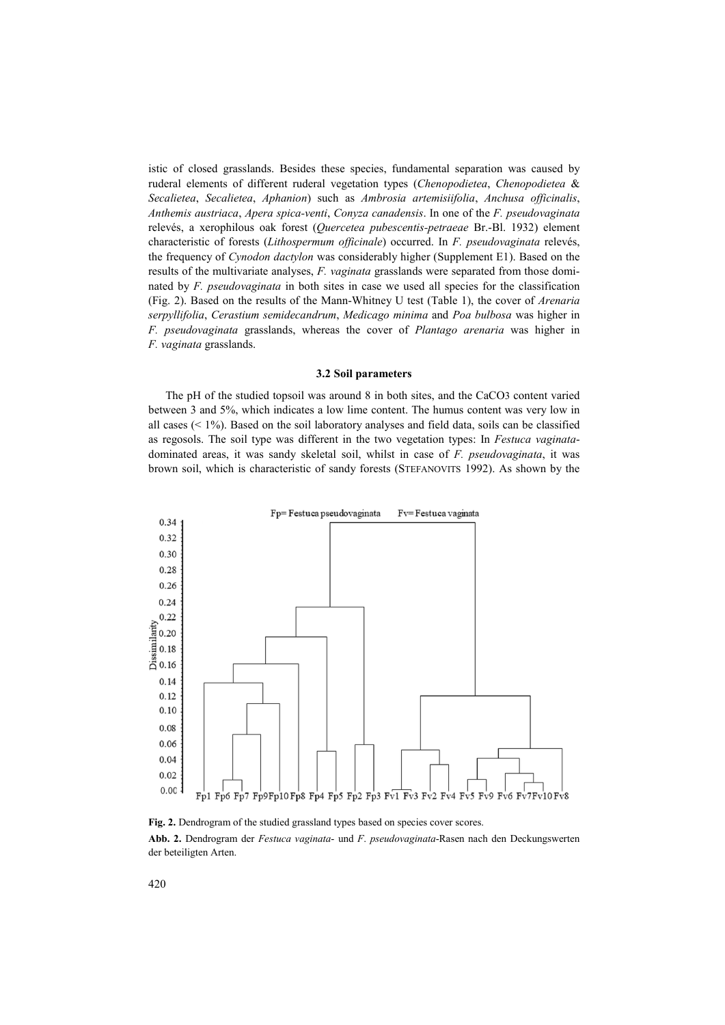istic of closed grasslands. Besides these species, fundamental separation was caused by ruderal elements of different ruderal vegetation types (*Chenopodietea*, *Chenopodietea* & *Secalietea*, *Secalietea*, *Aphanion*) such as *Ambrosia artemisiifolia*, *Anchusa officinalis*, *Anthemis austriaca*, *Apera spica-venti*, *Conyza canadensis*. In one of the *F. pseudovaginata*  relevés, a xerophilous oak forest (*Quercetea pubescentis-petraeae* Br.-Bl. 1932) element characteristic of forests (*Lithospermum officinale*) occurred. In *F. pseudovaginata* relevés, the frequency of *Cynodon dactylon* was considerably higher (Supplement E1). Based on the results of the multivariate analyses, *F. vaginata* grasslands were separated from those dominated by *F. pseudovaginata* in both sites in case we used all species for the classification (Fig. 2). Based on the results of the Mann-Whitney U test (Table 1), the cover of *Arenaria serpyllifolia*, *Cerastium semidecandrum*, *Medicago minima* and *Poa bulbosa* was higher in *F. pseudovaginata* grasslands, whereas the cover of *Plantago arenaria* was higher in *F. vaginata* grasslands.

#### **3.2 Soil parameters**

The pH of the studied topsoil was around 8 in both sites, and the CaCO3 content varied between 3 and 5%, which indicates a low lime content. The humus content was very low in all cases  $($  <  $1\%$ ). Based on the soil laboratory analyses and field data, soils can be classified as regosols. The soil type was different in the two vegetation types: In *Festuca vaginata*dominated areas, it was sandy skeletal soil, whilst in case of *F. pseudovaginata*, it was brown soil, which is characteristic of sandy forests (STEFANOVITS 1992). As shown by the



Fig. 2. Dendrogram of the studied grassland types based on species cover scores.

**Abb. 2.** Dendrogram der *Festuca vaginata*- und *F*. *pseudovaginata*-Rasen nach den Deckungswerten der beteiligten Arten.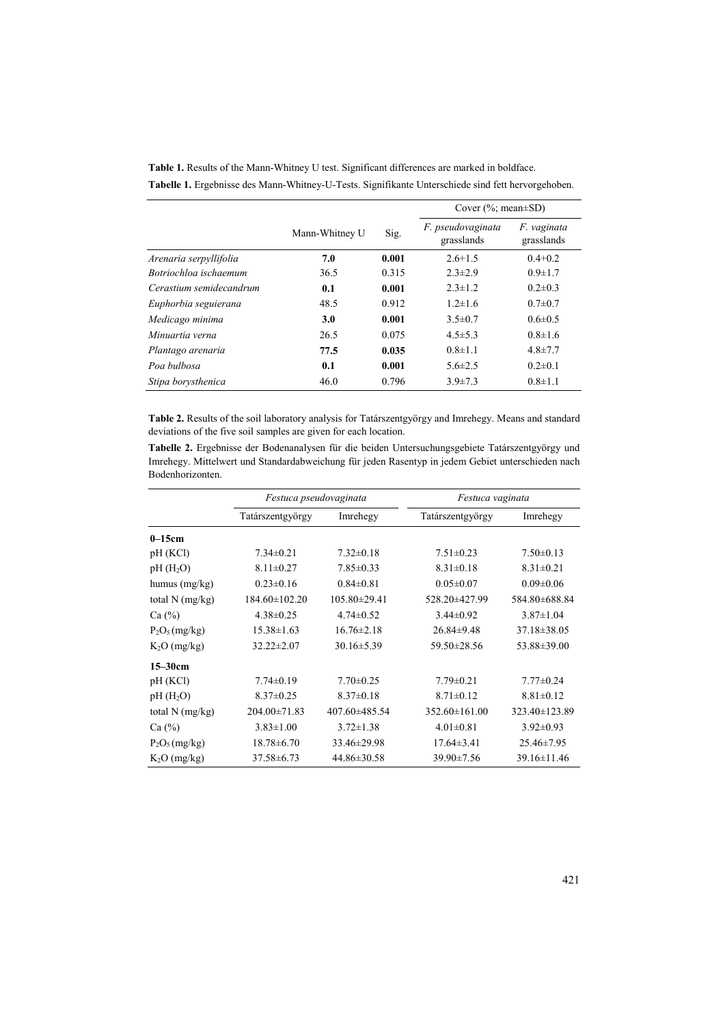|                         |                |       | Cover $(\%; \text{mean} \pm SD)$ |                           |
|-------------------------|----------------|-------|----------------------------------|---------------------------|
|                         | Mann-Whitney U | Sig.  | F. pseudovaginata<br>grasslands  | F. vaginata<br>grasslands |
| Arenaria serpyllifolia  | 7.0            | 0.001 | $2.6 + 1.5$                      | $0.4 + 0.2$               |
| Botriochloa ischaemum   | 36.5           | 0.315 | $2.3 \pm 2.9$                    | $0.9 \pm 1.7$             |
| Cerastium semidecandrum | 0.1            | 0.001 | $2.3 \pm 1.2$                    | $0.2 \pm 0.3$             |
| Euphorbia seguierana    | 48.5           | 0.912 | $1.2 \pm 1.6$                    | $0.7 \pm 0.7$             |
| Medicago minima         | 3.0            | 0.001 | $3.5 \pm 0.7$                    | $0.6 \pm 0.5$             |
| Minuartia verna         | 26.5           | 0.075 | $4.5 \pm 5.3$                    | $0.8 \pm 1.6$             |
| Plantago arenaria       | 77.5           | 0.035 | $0.8 \pm 1.1$                    | $4.8 \pm 7.7$             |
| Poa bulbosa             | 0.1            | 0.001 | $5.6 \pm 2.5$                    | $0.2 \pm 0.1$             |
| Stipa borysthenica      | 46.0           | 0.796 | $3.9 \pm 7.3$                    | $0.8 \pm 1.1$             |

**Table 1.** Results of the Mann-Whitney U test. Significant differences are marked in boldface. **Tabelle 1.** Ergebnisse des Mann-Whitney-U-Tests. Signifikante Unterschiede sind fett hervorgehoben.

**Table 2.** Results of the soil laboratory analysis for Tatárszentgyörgy and Imrehegy. Means and standard deviations of the five soil samples are given for each location.

**Tabelle 2.** Ergebnisse der Bodenanalysen für die beiden Untersuchungsgebiete Tatárszentgyörgy und Imrehegy. Mittelwert und Standardabweichung für jeden Rasentyp in jedem Gebiet unterschieden nach Bodenhorizonten.

|                      | Festuca pseudovaginata |                  | Festuca vaginata    |                   |  |
|----------------------|------------------------|------------------|---------------------|-------------------|--|
|                      | Tatárszentgyörgy       | Imrehegy         | Tatárszentgyörgy    | Imrehegy          |  |
| $0-15cm$             |                        |                  |                     |                   |  |
| pH (KCl)             | $7.34 \pm 0.21$        | $7.32 \pm 0.18$  | $7.51 \pm 0.23$     | $7.50 \pm 0.13$   |  |
| pH(H <sub>2</sub> O) | $8.11 \pm 0.27$        | $7.85 \pm 0.33$  | $8.31 \pm 0.18$     | $8.31 \pm 0.21$   |  |
| humus $(mg/kg)$      | $0.23 \pm 0.16$        | $0.84 \pm 0.81$  | $0.05 \pm 0.07$     | $0.09 \pm 0.06$   |  |
| total $N$ (mg/kg)    | $184.60 \pm 102.20$    | $105.80\pm29.41$ | 528.20±427.99       | 584.80±688.84     |  |
| Ca (%)               | $4.38 \pm 0.25$        | $4.74 \pm 0.52$  | $3.44\pm0.92$       | $3.87 \pm 1.04$   |  |
| $P_2O_5(mg/kg)$      | $15.38 \pm 1.63$       | $16.76 \pm 2.18$ | $26.84 \pm 9.48$    | $37.18 \pm 38.05$ |  |
| $K_2O$ (mg/kg)       | $32.22 \pm 2.07$       | $30.16 \pm 5.39$ | 59.50±28.56         | 53.88±39.00       |  |
| $15 - 30$ cm         |                        |                  |                     |                   |  |
| pH(KCl)              | $7.74 \pm 0.19$        | $7.70 \pm 0.25$  | $7.79 \pm 0.21$     | $7.77 \pm 0.24$   |  |
| pH(H <sub>2</sub> O) | $8.37 \pm 0.25$        | $8.37 \pm 0.18$  | $8.71 \pm 0.12$     | $8.81 \pm 0.12$   |  |
| total N (mg/kg)      | $204.00 \pm 71.83$     | 407.60±485.54    | $352.60 \pm 161.00$ | 323.40±123.89     |  |
| Ca (%)               | $3.83 \pm 1.00$        | $3.72 \pm 1.38$  | $4.01 \pm 0.81$     | $3.92 \pm 0.93$   |  |
| $P_2O_5(mg/kg)$      | $18.78 \pm 6.70$       | 33.46±29.98      | $17.64 \pm 3.41$    | $25.46 \pm 7.95$  |  |
| $K2O$ (mg/kg)        | $37.58 \pm 6.73$       | 44.86±30.58      | 39.90±7.56          | 39.16±11.46       |  |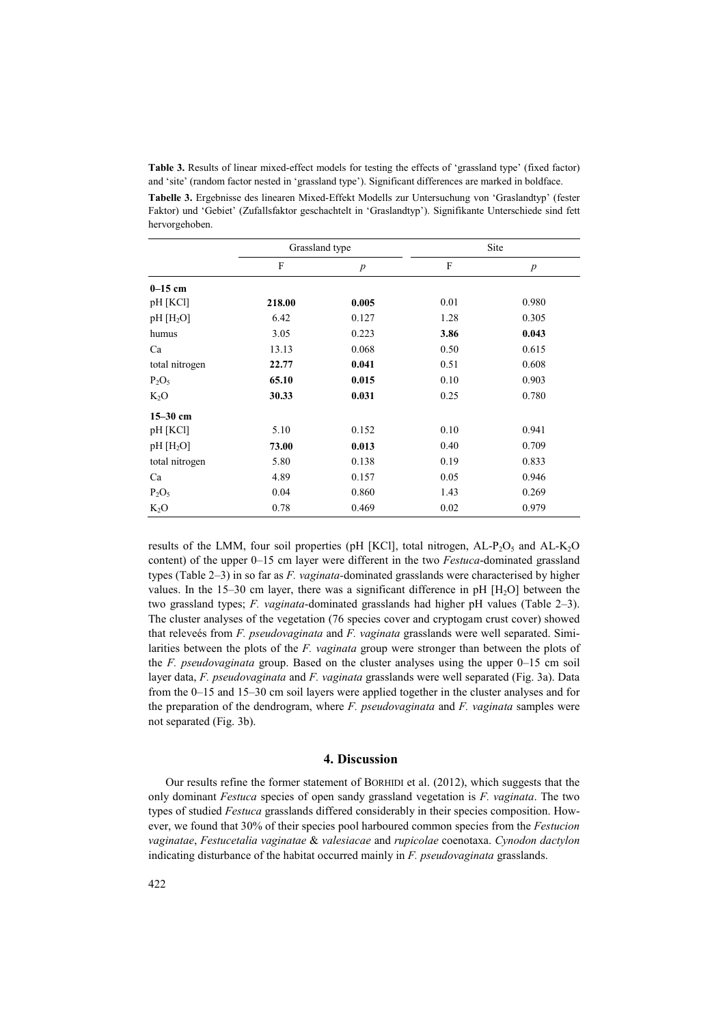**Table 3.** Results of linear mixed-effect models for testing the effects of 'grassland type' (fixed factor) and 'site' (random factor nested in 'grassland type'). Significant differences are marked in boldface.

**Tabelle 3.** Ergebnisse des linearen Mixed-Effekt Modells zur Untersuchung von 'Graslandtyp' (fester Faktor) und 'Gebiet' (Zufallsfaktor geschachtelt in 'Graslandtyp'). Signifikante Unterschiede sind fett hervorgehoben.

|                 | Grassland type |                  |      | Site             |
|-----------------|----------------|------------------|------|------------------|
|                 | F              | $\boldsymbol{p}$ | F    | $\boldsymbol{p}$ |
| $0-15$ cm       |                |                  |      |                  |
| pH [KCl]        | 218.00         | 0.005            | 0.01 | 0.980            |
| $pH$ [ $H_2O$ ] | 6.42           | 0.127            | 1.28 | 0.305            |
| humus           | 3.05           | 0.223            | 3.86 | 0.043            |
| Ca              | 13.13          | 0.068            | 0.50 | 0.615            |
| total nitrogen  | 22.77          | 0.041            | 0.51 | 0.608            |
| $P_2O_5$        | 65.10          | 0.015            | 0.10 | 0.903            |
| $K_2O$          | 30.33          | 0.031            | 0.25 | 0.780            |
| $15-30$ cm      |                |                  |      |                  |
| pH [KCl]        | 5.10           | 0.152            | 0.10 | 0.941            |
| $pH$ [ $H_2O$ ] | 73.00          | 0.013            | 0.40 | 0.709            |
| total nitrogen  | 5.80           | 0.138            | 0.19 | 0.833            |
| Ca              | 4.89           | 0.157            | 0.05 | 0.946            |
| $P_2O_5$        | 0.04           | 0.860            | 1.43 | 0.269            |
| $K_2O$          | 0.78           | 0.469            | 0.02 | 0.979            |

results of the LMM, four soil properties (pH [KCl], total nitrogen,  $AL-P_2O_5$  and  $AL-K_2O$ content) of the upper 0–15 cm layer were different in the two *Festuca*-dominated grassland types (Table 2–3) in so far as *F. vaginata-*dominated grasslands were characterised by higher values. In the  $15-30$  cm layer, there was a significant difference in pH  $[H, O]$  between the two grassland types; *F. vaginata*-dominated grasslands had higher pH values (Table 2–3). The cluster analyses of the vegetation (76 species cover and cryptogam crust cover) showed that releveés from *F. pseudovaginata* and *F. vaginata* grasslands were well separated. Similarities between the plots of the *F. vaginata* group were stronger than between the plots of the *F. pseudovaginata* group. Based on the cluster analyses using the upper 0–15 cm soil layer data, *F. pseudovaginata* and *F. vaginata* grasslands were well separated (Fig. 3a). Data from the 0–15 and 15–30 cm soil layers were applied together in the cluster analyses and for the preparation of the dendrogram, where *F. pseudovaginata* and *F. vaginata* samples were not separated (Fig. 3b).

## **4. Discussion**

Our results refine the former statement of BORHIDI et al. (2012), which suggests that the only dominant *Festuca* species of open sandy grassland vegetation is *F. vaginata*. The two types of studied *Festuca* grasslands differed considerably in their species composition. However, we found that 30% of their species pool harboured common species from the *Festucion vaginatae*, *Festucetalia vaginatae* & *valesiacae* and *rupicolae* coenotaxa. *Cynodon dactylon* indicating disturbance of the habitat occurred mainly in *F. pseudovaginata* grasslands.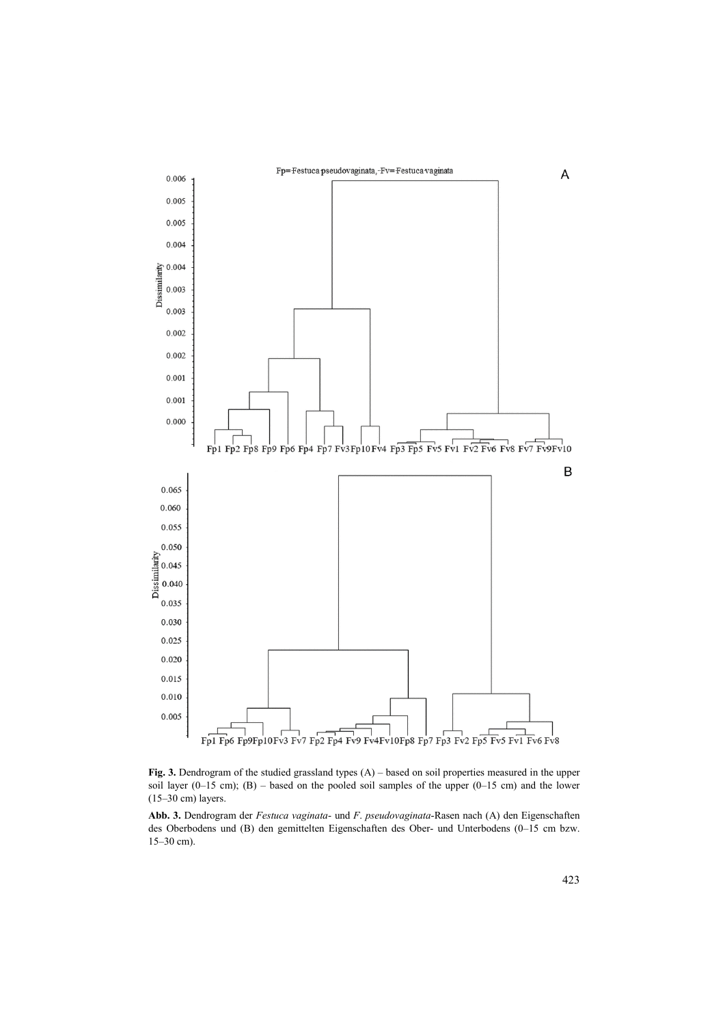

Fig. 3. Dendrogram of the studied grassland types (A) – based on soil properties measured in the upper soil layer (0–15 cm); (B) – based on the pooled soil samples of the upper (0–15 cm) and the lower (15–30 cm) layers.

**Abb. 3.** Dendrogram der *Festuca vaginata*- und *F*. *pseudovaginata*-Rasen nach (A) den Eigenschaften des Oberbodens und (B) den gemittelten Eigenschaften des Ober- und Unterbodens (0–15 cm bzw. 15–30 cm).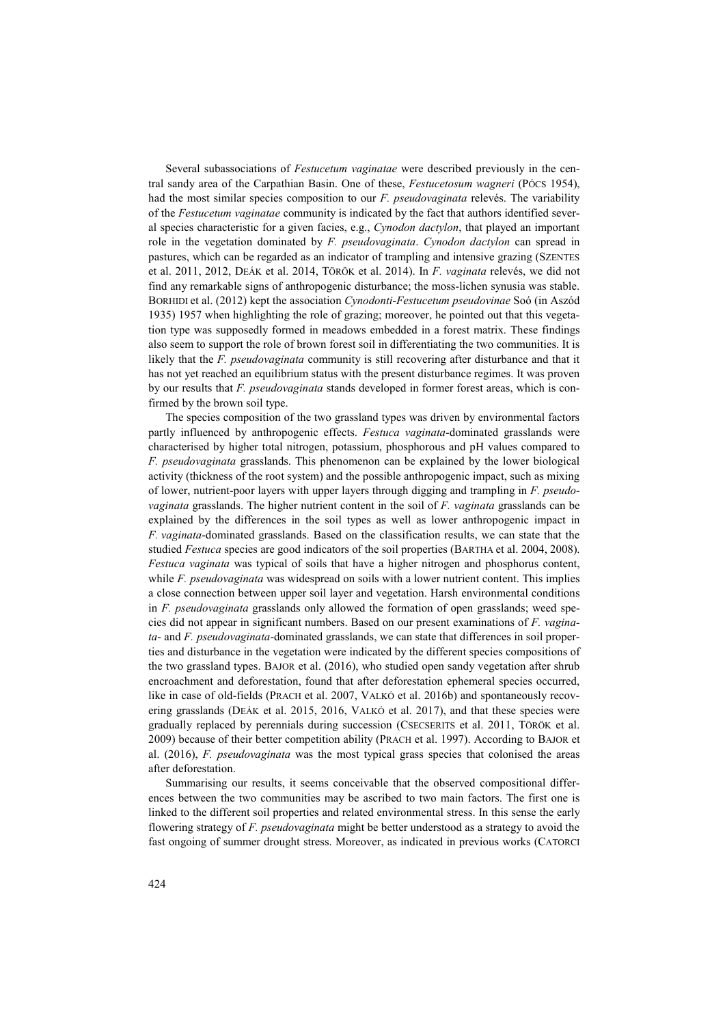Several subassociations of *Festucetum vaginatae* were described previously in the central sandy area of the Carpathian Basin. One of these, *Festucetosum wagneri* (PÓCS 1954), had the most similar species composition to our *F. pseudovaginata* relevés. The variability of the *Festucetum vaginatae* community is indicated by the fact that authors identified several species characteristic for a given facies, e.g., *Cynodon dactylon*, that played an important role in the vegetation dominated by *F. pseudovaginata*. *Cynodon dactylon* can spread in pastures, which can be regarded as an indicator of trampling and intensive grazing (SZENTES et al. 2011, 2012, DEÁK et al. 2014, TÖRÖK et al. 2014). In *F. vaginata* relevés, we did not find any remarkable signs of anthropogenic disturbance; the moss-lichen synusia was stable. BORHIDI et al. (2012) kept the association *Cynodonti-Festucetum pseudovinae* Soó (in Aszód 1935) 1957 when highlighting the role of grazing; moreover, he pointed out that this vegetation type was supposedly formed in meadows embedded in a forest matrix. These findings also seem to support the role of brown forest soil in differentiating the two communities. It is likely that the *F. pseudovaginata* community is still recovering after disturbance and that it has not yet reached an equilibrium status with the present disturbance regimes. It was proven by our results that *F. pseudovaginata* stands developed in former forest areas, which is confirmed by the brown soil type.

The species composition of the two grassland types was driven by environmental factors partly influenced by anthropogenic effects. *Festuca vaginata*-dominated grasslands were characterised by higher total nitrogen, potassium, phosphorous and pH values compared to *F. pseudovaginata* grasslands. This phenomenon can be explained by the lower biological activity (thickness of the root system) and the possible anthropogenic impact, such as mixing of lower, nutrient-poor layers with upper layers through digging and trampling in *F. pseudovaginata* grasslands. The higher nutrient content in the soil of *F. vaginata* grasslands can be explained by the differences in the soil types as well as lower anthropogenic impact in *F. vaginata*-dominated grasslands. Based on the classification results, we can state that the studied *Festuca* species are good indicators of the soil properties (BARTHA et al. 2004, 2008). *Festuca vaginata* was typical of soils that have a higher nitrogen and phosphorus content, while *F. pseudovaginata* was widespread on soils with a lower nutrient content. This implies a close connection between upper soil layer and vegetation. Harsh environmental conditions in *F. pseudovaginata* grasslands only allowed the formation of open grasslands; weed species did not appear in significant numbers. Based on our present examinations of *F. vaginata*- and *F. pseudovaginata*-dominated grasslands, we can state that differences in soil properties and disturbance in the vegetation were indicated by the different species compositions of the two grassland types. BAJOR et al. (2016), who studied open sandy vegetation after shrub encroachment and deforestation, found that after deforestation ephemeral species occurred, like in case of old-fields (PRACH et al. 2007, VALKÓ et al. 2016b) and spontaneously recovering grasslands (DEÁK et al. 2015, 2016, VALKÓ et al. 2017), and that these species were gradually replaced by perennials during succession (CSECSERITS et al. 2011, TÖRÖK et al. 2009) because of their better competition ability (PRACH et al. 1997). According to BAJOR et al. (2016), *F. pseudovaginata* was the most typical grass species that colonised the areas after deforestation.

Summarising our results, it seems conceivable that the observed compositional differences between the two communities may be ascribed to two main factors. The first one is linked to the different soil properties and related environmental stress. In this sense the early flowering strategy of *F. pseudovaginata* might be better understood as a strategy to avoid the fast ongoing of summer drought stress. Moreover, as indicated in previous works (CATORCI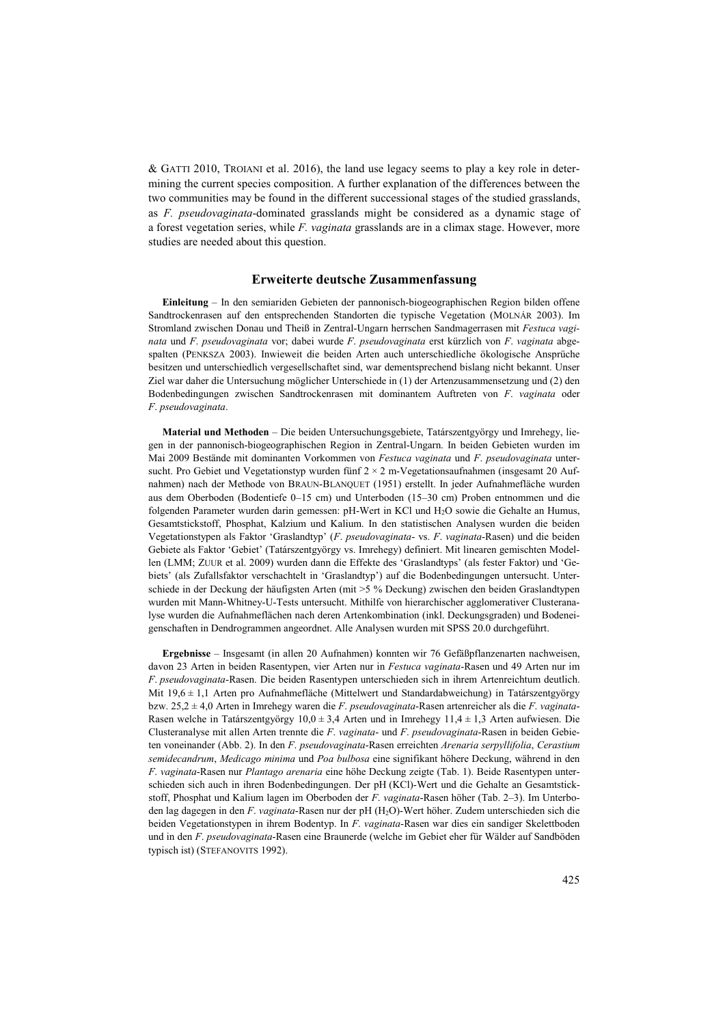& GATTI 2010, TROIANI et al. 2016), the land use legacy seems to play a key role in determining the current species composition. A further explanation of the differences between the two communities may be found in the different successional stages of the studied grasslands, as *F. pseudovaginata*-dominated grasslands might be considered as a dynamic stage of a forest vegetation series, while *F. vaginata* grasslands are in a climax stage. However, more studies are needed about this question.

#### **Erweiterte deutsche Zusammenfassung**

**Einleitung** – In den semiariden Gebieten der pannonisch-biogeographischen Region bilden offene Sandtrockenrasen auf den entsprechenden Standorten die typische Vegetation (MOLNÁR 2003). Im Stromland zwischen Donau und Theiß in Zentral-Ungarn herrschen Sandmagerrasen mit *Festuca vaginata* und *F*. *pseudovaginata* vor; dabei wurde *F*. *pseudovaginata* erst kürzlich von *F*. *vaginata* abgespalten (PENKSZA 2003). Inwieweit die beiden Arten auch unterschiedliche ökologische Ansprüche besitzen und unterschiedlich vergesellschaftet sind, war dementsprechend bislang nicht bekannt. Unser Ziel war daher die Untersuchung möglicher Unterschiede in (1) der Artenzusammensetzung und (2) den Bodenbedingungen zwischen Sandtrockenrasen mit dominantem Auftreten von *F*. *vaginata* oder *F*. *pseudovaginata*.

**Material und Methoden** – Die beiden Untersuchungsgebiete, Tatárszentgyörgy und Imrehegy, liegen in der pannonisch-biogeographischen Region in Zentral-Ungarn. In beiden Gebieten wurden im Mai 2009 Bestände mit dominanten Vorkommen von *Festuca vaginata* und *F*. *pseudovaginata* untersucht. Pro Gebiet und Vegetationstyp wurden fünf 2 × 2 m-Vegetationsaufnahmen (insgesamt 20 Aufnahmen) nach der Methode von BRAUN-BLANQUET (1951) erstellt. In jeder Aufnahmefläche wurden aus dem Oberboden (Bodentiefe 0–15 cm) und Unterboden (15–30 cm) Proben entnommen und die folgenden Parameter wurden darin gemessen: pH-Wert in KCl und H2O sowie die Gehalte an Humus, Gesamtstickstoff, Phosphat, Kalzium und Kalium. In den statistischen Analysen wurden die beiden Vegetationstypen als Faktor 'Graslandtyp' (*F*. *pseudovaginata*- vs. *F*. *vaginata*-Rasen) und die beiden Gebiete als Faktor 'Gebiet' (Tatárszentgyörgy vs. Imrehegy) definiert. Mit linearen gemischten Modellen (LMM; ZUUR et al. 2009) wurden dann die Effekte des 'Graslandtyps' (als fester Faktor) und 'Gebiets' (als Zufallsfaktor verschachtelt in 'Graslandtyp') auf die Bodenbedingungen untersucht. Unterschiede in der Deckung der häufigsten Arten (mit >5 % Deckung) zwischen den beiden Graslandtypen wurden mit Mann-Whitney-U-Tests untersucht. Mithilfe von hierarchischer agglomerativer Clusteranalyse wurden die Aufnahmeflächen nach deren Artenkombination (inkl. Deckungsgraden) und Bodeneigenschaften in Dendrogrammen angeordnet. Alle Analysen wurden mit SPSS 20.0 durchgeführt.

**Ergebnisse** – Insgesamt (in allen 20 Aufnahmen) konnten wir 76 Gefäßpflanzenarten nachweisen, davon 23 Arten in beiden Rasentypen, vier Arten nur in *Festuca vaginata*-Rasen und 49 Arten nur im *F*. *pseudovaginata*-Rasen. Die beiden Rasentypen unterschieden sich in ihrem Artenreichtum deutlich. Mit 19,6  $\pm$  1,1 Arten pro Aufnahmefläche (Mittelwert und Standardabweichung) in Tatárszentgyörgy bzw. 25,2 ± 4,0 Arten in Imrehegy waren die *F*. *pseudovaginata*-Rasen artenreicher als die *F*. *vaginata*-Rasen welche in Tatárszentgyörgy  $10,0 \pm 3,4$  Arten und in Imrehegy  $11,4 \pm 1,3$  Arten aufwiesen. Die Clusteranalyse mit allen Arten trennte die *F*. *vaginata*- und *F*. *pseudovaginata*-Rasen in beiden Gebieten voneinander (Abb. 2). In den *F*. *pseudovaginata*-Rasen erreichten *Arenaria serpyllifolia*, *Cerastium semidecandrum*, *Medicago minima* und *Poa bulbosa* eine signifikant höhere Deckung, während in den *F*. *vaginata*-Rasen nur *Plantago arenaria* eine höhe Deckung zeigte (Tab. 1). Beide Rasentypen unterschieden sich auch in ihren Bodenbedingungen. Der pH (KCl)-Wert und die Gehalte an Gesamtstickstoff, Phosphat und Kalium lagen im Oberboden der *F*. *vaginata*-Rasen höher (Tab. 2–3). Im Unterboden lag dagegen in den *F*. *vaginata*-Rasen nur der pH (H2O)-Wert höher. Zudem unterschieden sich die beiden Vegetationstypen in ihrem Bodentyp. In *F*. *vaginata*-Rasen war dies ein sandiger Skelettboden und in den *F*. *pseudovaginata*-Rasen eine Braunerde (welche im Gebiet eher für Wälder auf Sandböden typisch ist) (STEFANOVITS 1992).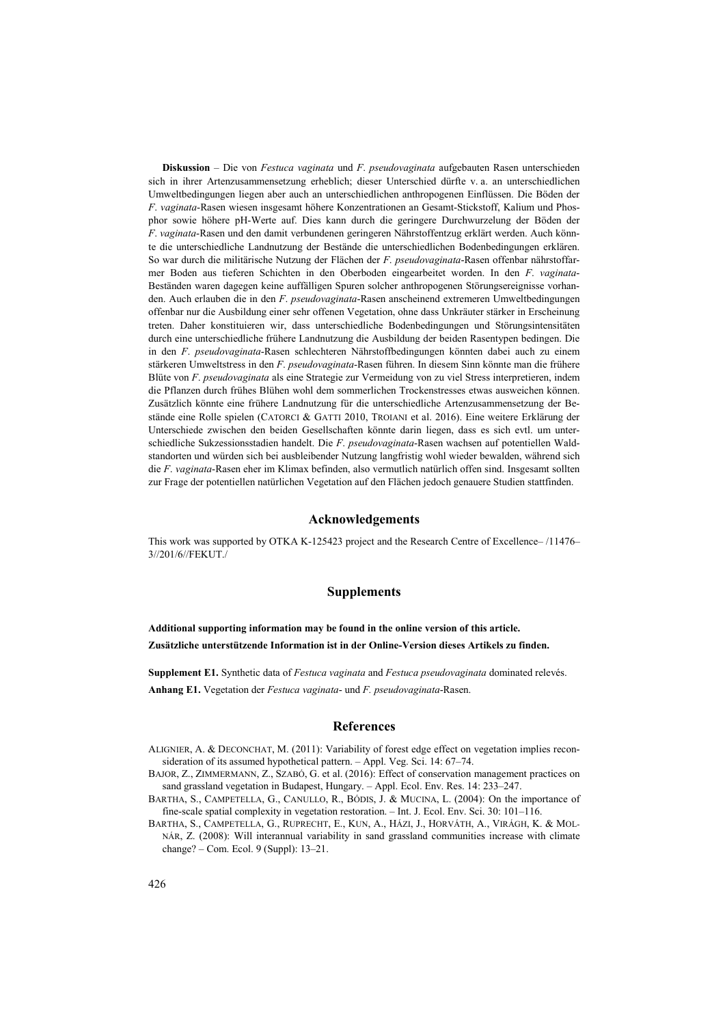**Diskussion** – Die von *Festuca vaginata* und *F*. *pseudovaginata* aufgebauten Rasen unterschieden sich in ihrer Artenzusammensetzung erheblich; dieser Unterschied dürfte v. a. an unterschiedlichen Umweltbedingungen liegen aber auch an unterschiedlichen anthropogenen Einflüssen. Die Böden der *F*. *vaginata*-Rasen wiesen insgesamt höhere Konzentrationen an Gesamt-Stickstoff, Kalium und Phosphor sowie höhere pH-Werte auf. Dies kann durch die geringere Durchwurzelung der Böden der *F*. *vaginata*-Rasen und den damit verbundenen geringeren Nährstoffentzug erklärt werden. Auch könnte die unterschiedliche Landnutzung der Bestände die unterschiedlichen Bodenbedingungen erklären. So war durch die militärische Nutzung der Flächen der *F*. *pseudovaginata*-Rasen offenbar nährstoffarmer Boden aus tieferen Schichten in den Oberboden eingearbeitet worden. In den *F*. *vaginata*-Beständen waren dagegen keine auffälligen Spuren solcher anthropogenen Störungsereignisse vorhanden. Auch erlauben die in den *F*. *pseudovaginata*-Rasen anscheinend extremeren Umweltbedingungen offenbar nur die Ausbildung einer sehr offenen Vegetation, ohne dass Unkräuter stärker in Erscheinung treten. Daher konstituieren wir, dass unterschiedliche Bodenbedingungen und Störungsintensitäten durch eine unterschiedliche frühere Landnutzung die Ausbildung der beiden Rasentypen bedingen. Die in den *F*. *pseudovaginata*-Rasen schlechteren Nährstoffbedingungen könnten dabei auch zu einem stärkeren Umweltstress in den *F*. *pseudovaginata*-Rasen führen. In diesem Sinn könnte man die frühere Blüte von *F*. *pseudovaginata* als eine Strategie zur Vermeidung von zu viel Stress interpretieren, indem die Pflanzen durch frühes Blühen wohl dem sommerlichen Trockenstresses etwas ausweichen können. Zusätzlich könnte eine frühere Landnutzung für die unterschiedliche Artenzusammensetzung der Bestände eine Rolle spielen (CATORCI & GATTI 2010, TROIANI et al. 2016). Eine weitere Erklärung der Unterschiede zwischen den beiden Gesellschaften könnte darin liegen, dass es sich evtl. um unterschiedliche Sukzessionsstadien handelt. Die *F*. *pseudovaginata*-Rasen wachsen auf potentiellen Waldstandorten und würden sich bei ausbleibender Nutzung langfristig wohl wieder bewalden, während sich die *F*. *vaginata*-Rasen eher im Klimax befinden, also vermutlich natürlich offen sind. Insgesamt sollten zur Frage der potentiellen natürlichen Vegetation auf den Flächen jedoch genauere Studien stattfinden.

#### **Acknowledgements**

This work was supported by OTKA K-125423 project and the Research Centre of Excellence– /11476– 3//201/6//FEKUT./

## **Supplements**

**Additional supporting information may be found in the online version of this article. Zusätzliche unterstützende Information ist in der Online-Version dieses Artikels zu finden.**

**Supplement E1.** Synthetic data of *Festuca vaginata* and *Festuca pseudovaginata* dominated relevés. **Anhang E1.** Vegetation der *Festuca vaginata*- und *F. pseudovaginata*-Rasen.

#### **References**

- ALIGNIER, A. & DECONCHAT, M. (2011)[: Variability of forest edge effect on vegetation implies recon](https://scholar.google.com/citations?view_op=view_citation&hl=fr&user=W49VQWwAAAAJ&citation_for_view=W49VQWwAAAAJ:u-x6o8ySG0sC)[sideration of its assumed hypothetical pattern.](https://scholar.google.com/citations?view_op=view_citation&hl=fr&user=W49VQWwAAAAJ&citation_for_view=W49VQWwAAAAJ:u-x6o8ySG0sC) – Appl. Veg. Sci. 14: 67–74.
- BAJOR, Z., ZIMMERMANN, Z., SZABÓ, G. et al. (2016): Effect of conservation management practices on sand grassland vegetation in Budapest, Hungary. – Appl. Ecol. Env. Res. 14: 233–247.
- BARTHA, S., CAMPETELLA, G., CANULLO, R., BÓDIS, J. & MUCINA, L. (2004): On the importance of fine-scale spatial complexity in vegetation restoration. – Int. J. Ecol. Env. Sci. 30: 101–116.
- BARTHA, S., CAMPETELLA, G., RUPRECHT, E., KUN, A., HÁZI, J., HORVÁTH, A., VIRÁGH, K. & MOL-NÁR, Z. (2008): Will interannual variability in sand grassland communities increase with climate change? – Com. Ecol. 9 (Suppl): 13–21.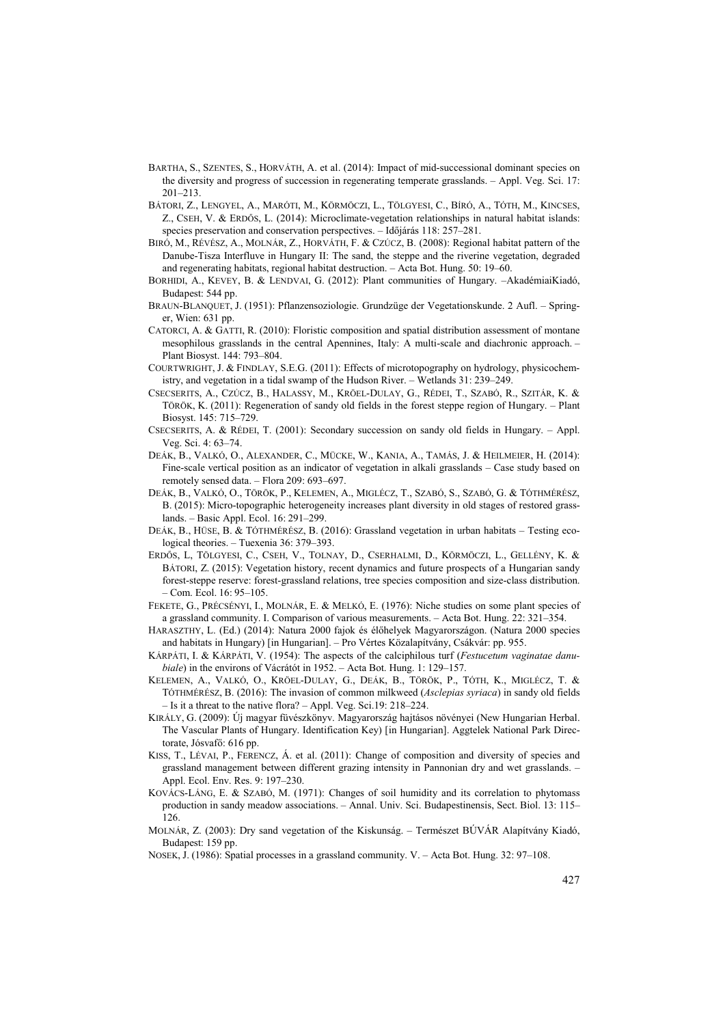- BARTHA, S., SZENTES, S., HORVÁTH, A. et al. (2014): Impact of mid-successional dominant species on the diversity and progress of succession in regenerating temperate grasslands. – Appl. Veg. Sci. 17: 201–213.
- BÁTORI, Z., LENGYEL, A., MARÓTI, M., KÖRMÖCZI, L., TÖLGYESI, C., BÍRÓ, A., TÓTH, M., KINCSES, Z., CSEH, V. & ERDėS, L. (2014): Microclimate-vegetation relationships in natural habitat islands: species preservation and conservation perspectives. - Időjárás 118: 257-281.
- BIRÓ, M., RÉVÉSZ, A., MOLNÁR, Z., HORVÁTH, F. & CZÚCZ, B. (2008): Regional habitat pattern of the Danube-Tisza Interfluve in Hungary II: The sand, the steppe and the riverine vegetation, degraded and regenerating habitats, regional habitat destruction. – Acta Bot. Hung. 50: 19–60.
- BORHIDI, A., KEVEY, B. & LENDVAI, G. (2012): Plant communities of Hungary. –AkadémiaiKiadó, Budapest: 544 pp.
- BRAUN-BLANQUET, J. (1951): Pflanzensoziologie. Grundzüge der Vegetationskunde. 2 Aufl. Springer, Wien: 631 pp.
- CATORCI, A. & GATTI, R. (2010): Floristic composition and spatial distribution assessment of montane mesophilous grasslands in the central Apennines, Italy: A multi-scale and diachronic approach. – Plant Biosyst. 144: 793–804.
- COURTWRIGHT, J. & FINDLAY, S.E.G. (2011): Effects of microtopography on hydrology, physicochemistry, and vegetation in a tidal swamp of the Hudson River. – Wetlands 31: 239–249.
- CSECSERITS, A., CZÚCZ, B., HALASSY, M., KRÖEL-DULAY, G., RÉDEI, T., SZABÓ, R., SZITÁR, K. & TÖRÖK, K. (2011): Regeneration of sandy old fields in the forest steppe region of Hungary. – Plant Biosyst. 145: 715–729.
- CSECSERITS, A. & RÉDEI, T. (2001): Secondary succession on sandy old fields in Hungary. Appl. Veg. Sci. 4: 63–74.
- DEÁK, B., VALKÓ, O., ALEXANDER, C., MÜCKE, W., KANIA, A., TAMÁS, J. & HEILMEIER, H. (2014): Fine-scale vertical position as an indicator of vegetation in alkali grasslands – Case study based on remotely sensed data. – Flora 209: 693–697.
- DEÁK, B., VALKÓ, O., TÖRÖK, P., KELEMEN, A., MIGLÉCZ, T., SZABÓ, S., SZABÓ, G. & TÓTHMÉRÉSZ, B. (2015): Micro-topographic heterogeneity increases plant diversity in old stages of restored grasslands. – Basic Appl. Ecol. 16: 291–299.
- DEÁK, B., HÜSE, B. & TÓTHMÉRÉSZ, B. (2016): Grassland vegetation in urban habitats Testing ecological theories. – Tuexenia 36: 379–393.
- ERDėS, L, TÖLGYESI, C., CSEH, V., TOLNAY, D., CSERHALMI, D., KÖRMÖCZI, L., GELLÉNY, K. & BÁTORI, Z. (2015): Vegetation history, recent dynamics and future prospects of a Hungarian sandy forest-steppe reserve: forest-grassland relations, tree species composition and size-class distribution. – Com. Ecol. 16: 95–105.
- FEKETE, G., PRÉCSÉNYI, I., MOLNÁR, E. & MELKÓ, E. (1976): Niche studies on some plant species of a grassland community. I. Comparison of various measurements. – Acta Bot. Hung. 22: 321–354.
- HARASZTHY, L. (Ed.) (2014): Natura 2000 fajok és élőhelyek Magyarországon. (Natura 2000 species and habitats in Hungary) [in Hungarian]. – Pro Vértes Közalapítvány, Csákvár: pp. 955.
- KÁRPÁTI, I. & KÁRPÁTI, V. (1954): The aspects of the calciphilous turf (*Festucetum vaginatae danubiale*) in the environs of Vácrátót in 1952. – Acta Bot. Hung. 1: 129–157.
- KELEMEN, A., VALKÓ, O., KRÖEL-DULAY, G., DEÁK, B., TÖRÖK, P., TÓTH, K., MIGLÉCZ, T. & TÓTHMÉRÉSZ, B. (2016): The invasion of common milkweed (*Asclepias syriaca*) in sandy old fields – Is it a threat to the native flora? – Appl. Veg. Sci.19: 218–224.
- KIRÁLY, G. (2009): Új magyar füvészkönyv. Magyarország hajtásos növényei (New Hungarian Herbal. The Vascular Plants of Hungary. Identification Key) [in Hungarian]. Aggtelek National Park Directorate, Jósvafő: 616 pp.
- KISS, T., LÉVAI, P., FERENCZ, Á. et al. (2011): Change of composition and diversity of species and grassland management between different grazing intensity in Pannonian dry and wet grasslands. – Appl. Ecol. Env. Res. 9: 197–230.
- KOVÁCS-LÁNG, E. & SZABÓ, M. (1971): Changes of soil humidity and its correlation to phytomass production in sandy meadow associations. – Annal. Univ. Sci. Budapestinensis, Sect. Biol. 13: 115– 126.
- MOLNÁR, Z. (2003): Dry sand vegetation of the Kiskunság. Természet BÚVÁR Alapítvány Kiadó, Budapest: 159 pp.
- NOSEK, J. (1986): Spatial processes in a grassland community. V. Acta Bot. Hung. 32: 97–108.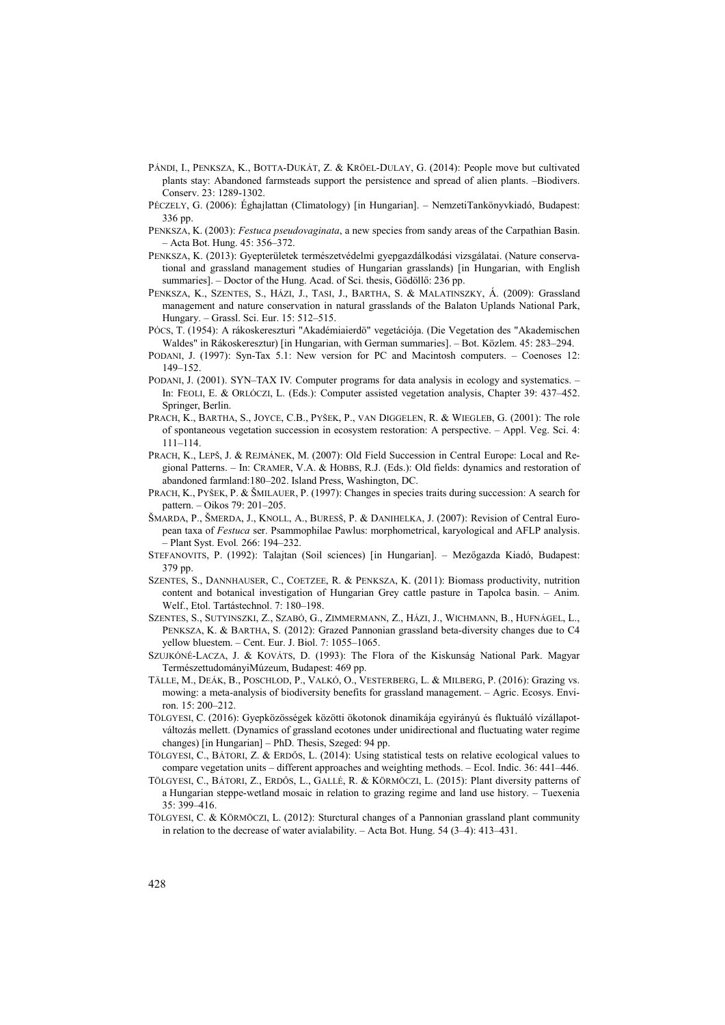- PÁNDI, I., PENKSZA, K., BOTTA-DUKÁT, Z. & KRÖEL-DULAY, G. (2014): People move but cultivated plants stay: Abandoned farmsteads support the persistence and spread of alien plants. –Biodivers. Conserv. 23: 1289-1302.
- PÉCZELY, G. (2006): Éghajlattan (Climatology) [in Hungarian]. NemzetiTankönyvkiadó, Budapest: 336 pp.
- PENKSZA, K. (2003): *Festuca pseudovaginata*, a new species from sandy areas of the Carpathian Basin. – Acta Bot. Hung. 45: 356–372.
- PENKSZA, K. (2013): Gyepterületek természetvédelmi gyepgazdálkodási vizsgálatai. (Nature conservational and grassland management studies of Hungarian grasslands) [in Hungarian, with English summaries]. – Doctor of the Hung. Acad. of Sci. thesis, Gödöllő: 236 pp.
- PENKSZA, K., SZENTES, S., HÁZI, J., TASI, J., BARTHA, S. & MALATINSZKY, Á. (2009): Grassland management and nature conservation in natural grasslands of the Balaton Uplands National Park, Hungary. – Grassl. Sci. Eur. 15: 512–515.
- PÓCS, T. (1954): A rákoskereszturi "Akadémiaierdö" vegetációja. (Die Vegetation des "Akademischen Waldes" in Rákoskeresztur) [in Hungarian, with German summaries]. – Bot. Közlem. 45: 283–294.
- PODANI, J. (1997): Syn-Tax 5.1: New version for PC and Macintosh computers. Coenoses 12: 149–152.
- PODANI, J. (2001). SYN–TAX IV. Computer programs for data analysis in ecology and systematics. In: FEOLI, E. & ORLÓCZI, L. (Eds.): Computer assisted vegetation analysis, Chapter 39: 437–452. Springer, Berlin.
- PRACH, K., BARTHA, S., JOYCE, C.B., PYŠEK, P., VAN DIGGELEN, R. & WIEGLEB, G. (2001): The role of spontaneous vegetation succession in ecosystem restoration: A perspective. – Appl. Veg. Sci. 4: 111–114.
- PRACH, K., LEPŠ, J. & REJMÁNEK, M. (2007): Old Field Succession in Central Europe: Local and Regional Patterns. – In: CRAMER, V.A. & HOBBS, R.J. (Eds.): Old fields: dynamics and restoration of abandoned farmland:180–202. Island Press, Washington, DC.
- PRACH, K., PYŠEK, P. & ŠMILAUER, P. (1997): Changes in species traits during succession: A search for pattern. – Oikos 79: 201–205.
- ŠMARDA, P., ŠMERDA, J., KNOLL, A., BURESŠ, P. & DANIHELKA, J. (2007): Revision of Central European taxa of *Festuca* ser. Psammophilae Pawlus: morphometrical, karyological and AFLP analysis. *–* Plant Syst. Evol*.* 266: 194–232.
- STEFANOVITS, P. (1992): Talajtan (Soil sciences) [in Hungarian]. Mezőgazda Kiadó, Budapest: 379 pp.
- SZENTES, S., DANNHAUSER, C., COETZEE, R. & PENKSZA, K. (2011): Biomass productivity, nutrition content and botanical investigation of Hungarian Grey cattle pasture in Tapolca basin. – Anim. Welf., Etol. Tartástechnol. 7: 180–198.
- SZENTES, S., SUTYINSZKI, Z., SZABÓ, G., ZIMMERMANN, Z., HÁZI, J., WICHMANN, B., HUFNÁGEL, L., PENKSZA, K. & BARTHA, S. (2012): Grazed Pannonian grassland beta-diversity changes due to C4 yellow bluestem. – Cent. Eur. J. Biol. 7: 1055–1065.
- SZUJKÓNÉ-LACZA, J. & KOVÁTS, D. (1993): The Flora of the Kiskunság National Park. Magyar TermészettudományiMúzeum, Budapest: 469 pp.
- TÄLLE, M., DEÁK, B., POSCHLOD, P., VALKÓ, O., VESTERBERG, L. & MILBERG, P. (2016): Grazing vs. mowing: a meta-analysis of biodiversity benefits for grassland management. – Agric. Ecosys. Environ. 15: 200–212.
- TÖLGYESI, C. (2016): Gyepközösségek közötti ökotonok dinamikája egyirányú és fluktuáló vízállapotváltozás mellett. (Dynamics of grassland ecotones under unidirectional and fluctuating water regime changes) [in Hungarian] – PhD. Thesis, Szeged: 94 pp.
- TÖLGYESI, C., BÁTORI, Z. & ERDėS, L. (2014): Using statistical tests on relative ecological values to compare vegetation units – different approaches and weighting methods. – Ecol. Indic. 36: 441–446.
- TÖLGYESI, C., BÁTORI, Z., ERDėS, L., GALLÉ, R. & KÖRMÖCZI, L. (2015): Plant diversity patterns of a Hungarian steppe-wetland mosaic in relation to grazing regime and land use history. – Tuexenia 35: 399–416.
- TÖLGYESI, C. & KÖRMÖCZI, L. (2012): Sturctural changes of a Pannonian grassland plant community in relation to the decrease of water avialability. – Acta Bot. Hung. 54 (3–4): 413–431.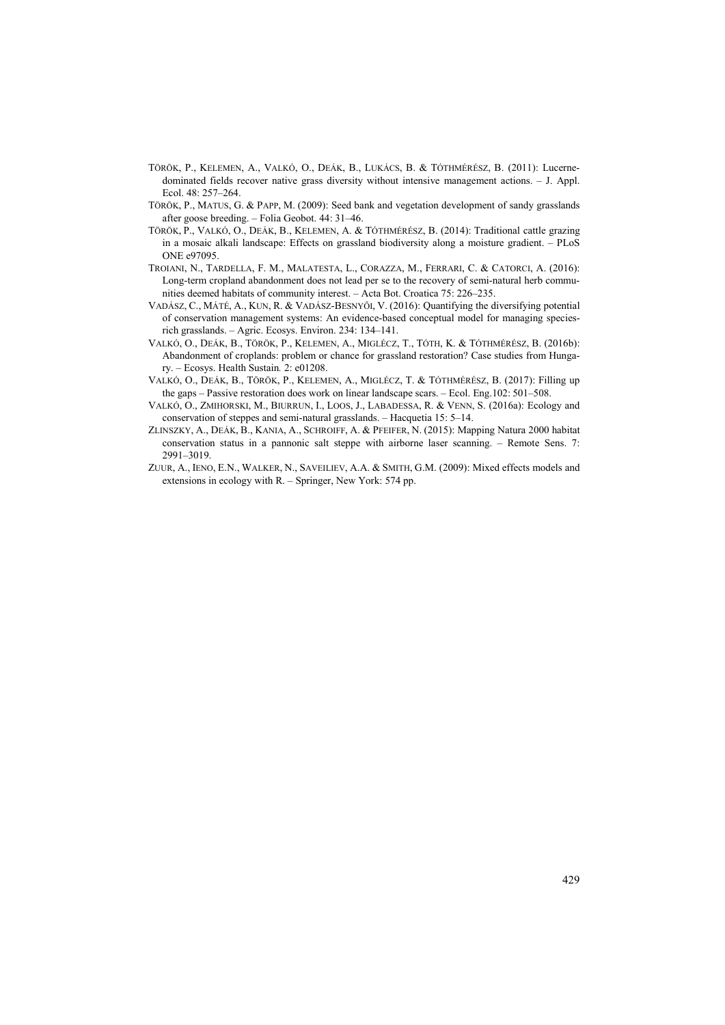- TÖRÖK, P., KELEMEN, A., VALKÓ, O., DEÁK, B., LUKÁCS, B. & TÓTHMÉRÉSZ, B. (2011): Lucernedominated fields recover native grass diversity without intensive management actions. – J. Appl. Ecol. 48: 257–264.
- TÖRÖK, P., MATUS, G. & PAPP, M. (2009): Seed bank and vegetation development of sandy grasslands after goose breeding. – Folia Geobot. 44: 31–46.
- TÖRÖK, P., VALKÓ, O., DEÁK, B., KELEMEN, A. & TÓTHMÉRÉSZ, B. (2014): Traditional cattle grazing in a mosaic alkali landscape: Effects on grassland biodiversity along a moisture gradient. – PLoS ONE e97095.
- TROIANI, N., TARDELLA, F. M., MALATESTA, L., CORAZZA, M., FERRARI, C. & CATORCI, A. (2016): Long-term cropland abandonment does not lead per se to the recovery of semi-natural herb communities deemed habitats of community interest. – Acta Bot. Croatica 75: 226–235.
- VADÁSZ, C., MÁTÉ, A., KUN, R. & VADÁSZ-BESNYėI, V. (2016): Quantifying the diversifying potential of conservation management systems: An evidence-based conceptual model for managing speciesrich grasslands. – Agric. Ecosys. Environ. 234: 134–141.
- VALKÓ, O., DEÁK, B., TÖRÖK, P., KELEMEN, A., MIGLÉCZ, T., TÓTH, K. & TÓTHMÉRÉSZ, B. (2016b): Abandonment of croplands: problem or chance for grassland restoration? Case studies from Hungary. – Ecosys. Health Sustain*.* 2: e01208.
- VALKÓ, O., DEÁK, B., TÖRÖK, P., KELEMEN, A., MIGLÉCZ, T. & TÓTHMÉRÉSZ, B. (2017): Filling up the gaps – Passive restoration does work on linear landscape scars. – Ecol. Eng.102: 501–508.
- VALKÓ, O., ZMIHORSKI, M., BIURRUN, I., LOOS, J., LABADESSA, R. & VENN, S. (2016a): Ecology and conservation of steppes and semi-natural grasslands. – Hacquetia 15: 5–14.
- ZLINSZKY, A., DEÁK, B., KANIA, A., SCHROIFF, A. & PFEIFER, N. (2015): Mapping Natura 2000 habitat conservation status in a pannonic salt steppe with airborne laser scanning. – Remote Sens. 7: 2991–3019.
- ZUUR, A., IENO, E.N., WALKER, N., SAVEILIEV, A.A. & SMITH, G.M. (2009): Mixed effects models and extensions in ecology with R. – Springer, New York: 574 pp.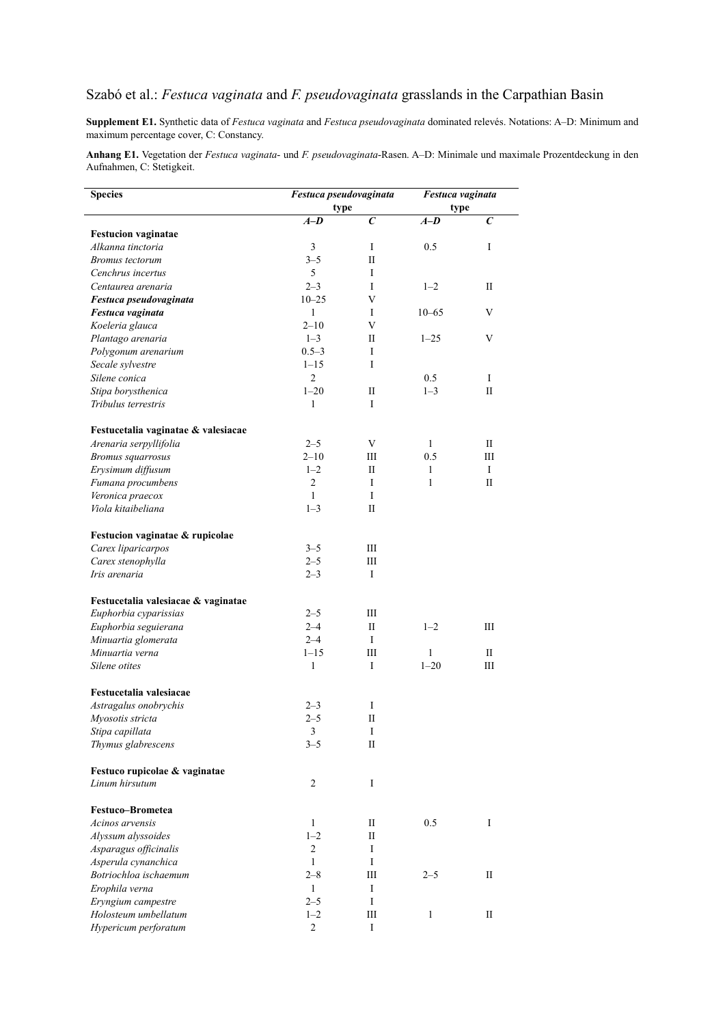## Szabó et al.: *Festuca vaginata* and *F. pseudovaginata* grasslands in the Carpathian Basin

**Supplement E1.** Synthetic data of *Festuca vaginata* and *Festuca pseudovaginata* dominated relevés. Notations: A–D: Minimum and maximum percentage cover, C: Constancy.

**Anhang E1.** Vegetation der *Festuca vaginata*- und *F. pseudovaginata*-Rasen. A–D: Minimale und maximale Prozentdeckung in den Aufnahmen, C: Stetigkeit.

| <b>Species</b>                      | Festuca pseudovaginata |              | Festuca vaginata |                  |
|-------------------------------------|------------------------|--------------|------------------|------------------|
|                                     | type                   |              | type             |                  |
|                                     | $A-D$                  | $\epsilon$   | $A-D$            | $\boldsymbol{C}$ |
| <b>Festucion vaginatae</b>          |                        |              |                  |                  |
| Alkanna tinctoria                   | 3                      | I            | 0.5              | I                |
| Bromus tectorum                     | $3 - 5$                | П            |                  |                  |
| Cenchrus incertus                   | 5                      | I            |                  |                  |
| Centaurea arenaria                  | $2 - 3$                | I            | $1 - 2$          | П                |
| Festuca pseudovaginata              | $10 - 25$              | $\mathbf{V}$ |                  |                  |
| Festuca vaginata                    | $\mathbf{1}$           | I            | $10 - 65$        | V                |
| Koeleria glauca                     | $2 - 10$               | V            |                  |                  |
| Plantago arenaria                   | $1 - 3$                | П            | $1 - 25$         | V                |
| Polygonum arenarium                 | $0.5 - 3$              | I            |                  |                  |
| Secale sylvestre                    | $1 - 15$               | I            |                  |                  |
| Silene conica                       | $\overline{2}$         |              | 0.5              | I                |
| Stipa borysthenica                  | $1 - 20$               | П            | $1 - 3$          | $_{\rm II}$      |
| Tribulus terrestris                 | 1                      | I            |                  |                  |
| Festucetalia vaginatae & valesiacae |                        |              |                  |                  |
| Arenaria serpyllifolia              | $2 - 5$                | V            | 1                | П                |
| <b>Bromus</b> squarrosus            | $2 - 10$               | Ш            | 0.5              | Ш                |
| Erysimum diffusum                   | $1 - 2$                | П            | 1                | I                |
| Fumana procumbens                   | 2                      | I            | $\mathbf{1}$     | $_{\rm II}$      |
| Veronica praecox                    | $\mathbf{1}$           | I            |                  |                  |
| Viola kitaibeliana                  | $1 - 3$                | П            |                  |                  |
| Festucion vaginatae & rupicolae     |                        |              |                  |                  |
| Carex liparicarpos                  | $3 - 5$                | Ш            |                  |                  |
| Carex stenophylla                   | $2 - 5$                | Ш            |                  |                  |
| Iris arenaria                       | $2 - 3$                | I            |                  |                  |
| Festucetalia valesiacae & vaginatae |                        |              |                  |                  |
| Euphorbia cyparissias               | $2 - 5$                | Ш            |                  |                  |
| Euphorbia seguierana                | $2 - 4$                | $\mathbf{I}$ | $1 - 2$          | Ш                |
| Minuartia glomerata                 | $2 - 4$                | I            |                  |                  |
| Minuartia verna                     | $1 - 15$               | Ш            | $\mathbf{1}$     | $_{\rm II}$      |
| Silene otites                       | $\mathbf{1}$           | I            | $1 - 20$         | Ш                |
| Festucetalia valesiacae             |                        |              |                  |                  |
| Astragalus onobrychis               | $2 - 3$                | I            |                  |                  |
| Myosotis stricta                    | $2 - 5$                | $\mathbf{I}$ |                  |                  |
| Stipa capillata                     | 3                      | 1            |                  |                  |
| Thymus glabrescens                  | $3 - 5$                | $\rm II$     |                  |                  |
| Festuco rupicolae & vaginatae       |                        |              |                  |                  |
| Linum hirsutum                      | 2                      | I            |                  |                  |
| Festuco-Brometea                    |                        |              |                  |                  |
| Acinos arvensis                     | $\mathbf{1}$           | $\mathbf{I}$ | 0.5              | I                |
| Alyssum alyssoides                  | $1 - 2$                | $\mathbf{I}$ |                  |                  |
| Asparagus officinalis               | 2                      | I            |                  |                  |
| Asperula cynanchica                 | $\mathbf{1}$           | I            |                  |                  |
| Botriochloa ischaemum               | $2 - 8$                | Ш            | $2 - 5$          | $_{\rm II}$      |
| Erophila verna                      | $\mathbf{1}$           | I            |                  |                  |
| Eryngium campestre                  | $2 - 5$                | I            |                  |                  |
| Holosteum umbellatum                | $1 - 2$                | Ш            | $\mathbf{1}$     | П                |
| Hypericum perforatum                | $\overline{c}$         | I            |                  |                  |